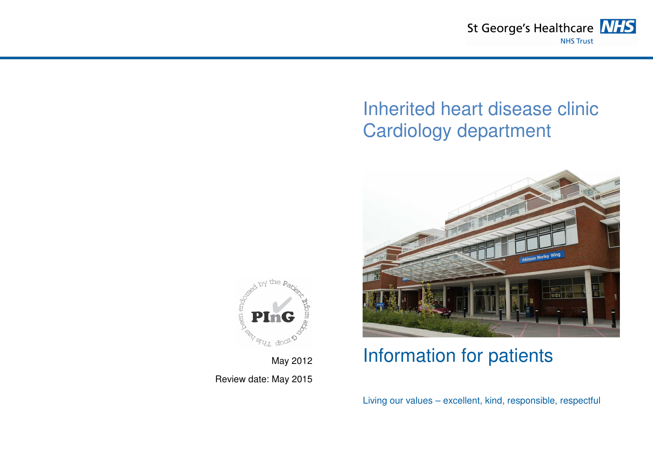

# Inherited heart disease clinic Cardiology department



## Information for patients

Living our values – excellent, kind, responsible, respectful



May 2012 Review date: May 2015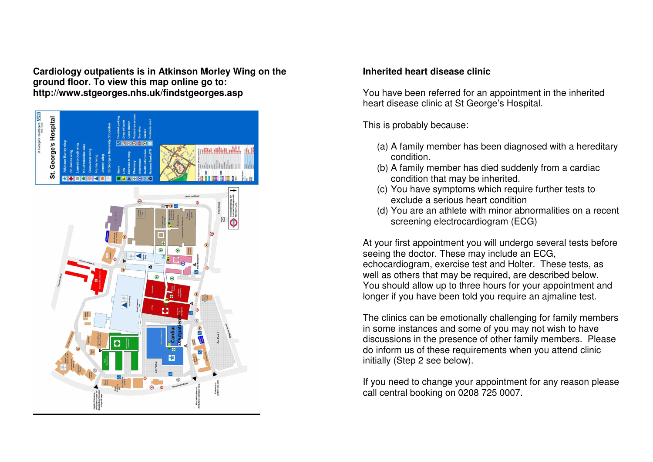**Cardiology outpatients is in Atkinson Morley Wing on the ground floor. To view this map online go to: http://www.stgeorges.nhs.uk/findstgeorges.asp** 



### **Inherited heart disease clinic**

You have been referred for an appointment in the inherited heart disease clinic at St George's Hospital.

This is probably because:

- (a) A family member has been diagnosed with a hereditary condition.
- (b) A family member has died suddenly from a cardiac condition that may be inherited.
- (c) You have symptoms which require further tests to exclude a serious heart condition
- (d) You are an athlete with minor abnormalities on a recent screening electrocardiogram (ECG)

At your first appointment you will undergo several tests before seeing the doctor. These may include an ECG, echocardiogram, exercise test and Holter. These tests, as well as others that may be required, are described below. You should allow up to three hours for your appointment and longer if you have been told you require an ajmaline test.

The clinics can be emotionally challenging for family members in some instances and some of you may not wish to have discussions in the presence of other family members. Please do inform us of these requirements when you attend clinic initially (Step 2 see below).

If you need to change your appointment for any reason please call central booking on 0208 725 0007.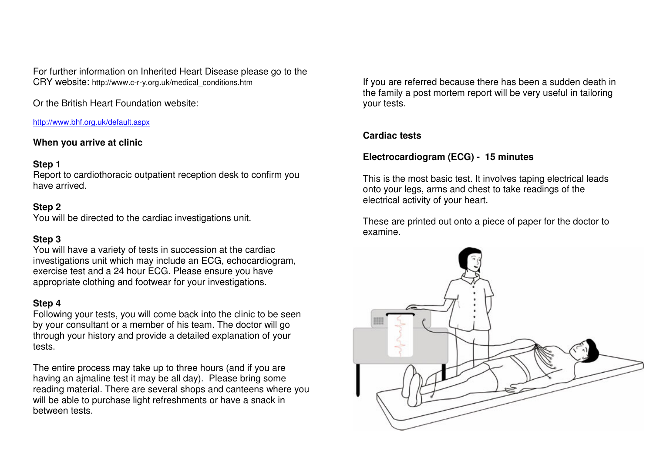For further information on Inherited Heart Disease please go to the CRY website: http://www.c-r-y.org.uk/medical\_conditions.htm

Or the British Heart Foundation website:

http://www.bhf.org.uk/default.aspx

## **When you arrive at clinic**

## **Step 1**

 Report to cardiothoracic outpatient reception desk to confirm you have arrived.

## **Step 2**

You will be directed to the cardiac investigations unit.

## **Step 3**

 You will have a variety of tests in succession at the cardiac investigations unit which may include an ECG, echocardiogram, exercise test and a 24 hour ECG. Please ensure you have appropriate clothing and footwear for your investigations.

## **Step 4**

 Following your tests, you will come back into the clinic to be seen by your consultant or a member of his team. The doctor will go through your history and provide a detailed explanation of your tests.

The entire process may take up to three hours (and if you are having an ajmaline test it may be all day). Please bring some reading material. There are several shops and canteens where you will be able to purchase light refreshments or have a snack in between tests.

If you are referred because there has been a sudden death in the family a post mortem report will be very useful in tailoring your tests.

## **Cardiac tests**

## **Electrocardiogram (ECG) - 15 minutes**

This is the most basic test. It involves taping electrical leads onto your legs, arms and chest to take readings of the electrical activity of your heart.

These are printed out onto a piece of paper for the doctor to examine.

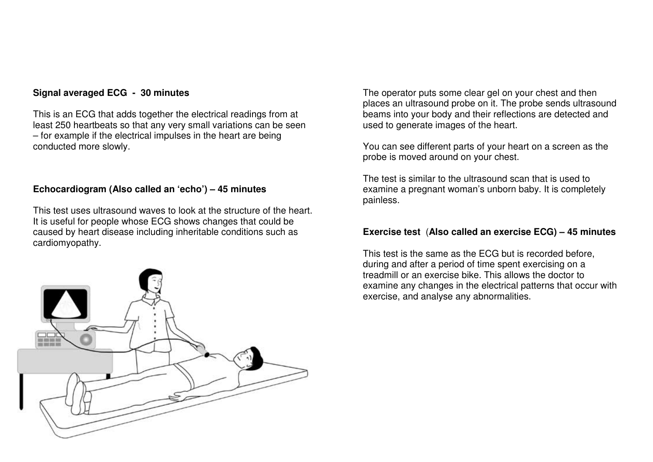#### **Signal averaged ECG - 30 minutes**

This is an ECG that adds together the electrical readings from at least 250 heartbeats so that any very small variations can be seen – for example if the electrical impulses in the heart are being conducted more slowly.

#### **Echocardiogram (Also called an 'echo') – 45 minutes**

This test uses ultrasound waves to look at the structure of the heart. It is useful for people whose ECG shows changes that could be caused by heart disease including inheritable conditions such as cardiomyopathy.



The operator puts some clear gel on your chest and then places an ultrasound probe on it. The probe sends ultrasound beams into your body and their reflections are detected and used to generate images of the heart.

You can see different parts of your heart on a screen as the probe is moved around on your chest.

The test is similar to the ultrasound scan that is used to examine a pregnant woman's unborn baby. It is completely painless.

#### **Exercise test** (**Also called an exercise ECG) – 45 minutes**

This test is the same as the ECG but is recorded before, during and after a period of time spent exercising on a treadmill or an exercise bike. This allows the doctor to examine any changes in the electrical patterns that occur with exercise, and analyse any abnormalities.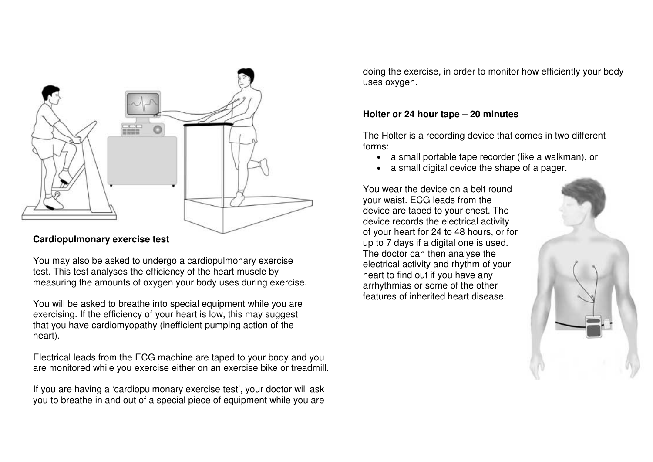

### **Cardiopulmonary exercise test**

You may also be asked to undergo a cardiopulmonary exercise test. This test analyses the efficiency of the heart muscle by measuring the amounts of oxygen your body uses during exercise.

You will be asked to breathe into special equipment while you are exercising. If the efficiency of your heart is low, this may suggest that you have cardiomyopathy (inefficient pumping action of the heart).

Electrical leads from the ECG machine are taped to your body and you are monitored while you exercise either on an exercise bike or treadmill.

If you are having a 'cardiopulmonary exercise test', your doctor will ask you to breathe in and out of a special piece of equipment while you are doing the exercise, in order to monitor how efficiently your body uses oxygen.

### **Holter or 24 hour tape – 20 minutes**

The Holter is a recording device that comes in two different forms:

- a small portable tape recorder (like a walkman), or
- •a small digital device the shape of a pager.

You wear the device on a belt round your waist. ECG leads from the device are taped to your chest. The device records the electrical activity of your heart for 24 to 48 hours, or for up to 7 days if a digital one is used. The doctor can then analyse the electrical activity and rhythm of your heart to find out if you have any arrhythmias or some of the other features of inherited heart disease.